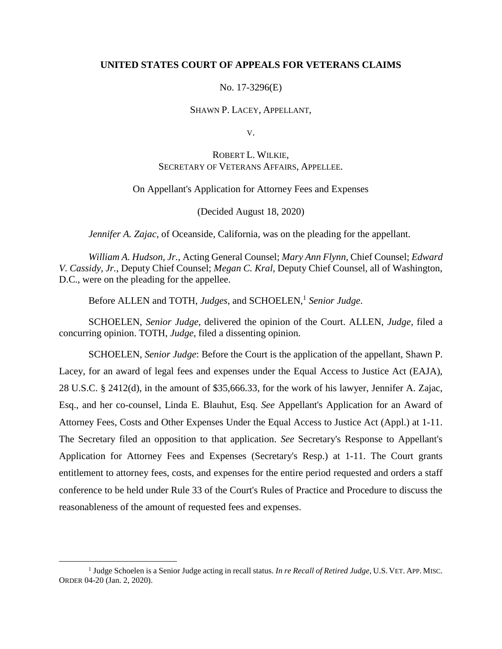## **UNITED STATES COURT OF APPEALS FOR VETERANS CLAIMS**

No. 17-3296(E)

### SHAWN P. LACEY, APPELLANT,

V.

# ROBERT L. WILKIE, SECRETARY OF VETERANS AFFAIRS, APPELLEE.

#### On Appellant's Application for Attorney Fees and Expenses

(Decided August 18, 2020)

*Jennifer A. Zajac*, of Oceanside, California, was on the pleading for the appellant.

*William A. Hudson, Jr.*, Acting General Counsel; *Mary Ann Flynn*, Chief Counsel; *Edward V. Cassidy, Jr.*, Deputy Chief Counsel; *Megan C. Kral,* Deputy Chief Counsel, all of Washington, D.C., were on the pleading for the appellee.

Before ALLEN and TOTH, *Judges*, and SCHOELEN, 1 *Senior Judge*.

SCHOELEN, *Senior Judge*, delivered the opinion of the Court. ALLEN, *Judge*, filed a concurring opinion. TOTH, *Judge*, filed a dissenting opinion.

SCHOELEN, *Senior Judge*: Before the Court is the application of the appellant, Shawn P. Lacey, for an award of legal fees and expenses under the Equal Access to Justice Act (EAJA), 28 U.S.C. § 2412(d), in the amount of \$35,666.33, for the work of his lawyer, Jennifer A. Zajac, Esq., and her co-counsel, Linda E. Blauhut, Esq. *See* Appellant's Application for an Award of Attorney Fees, Costs and Other Expenses Under the Equal Access to Justice Act (Appl.) at 1-11. The Secretary filed an opposition to that application. *See* Secretary's Response to Appellant's Application for Attorney Fees and Expenses (Secretary's Resp.) at 1-11. The Court grants entitlement to attorney fees, costs, and expenses for the entire period requested and orders a staff conference to be held under Rule 33 of the Court's Rules of Practice and Procedure to discuss the reasonableness of the amount of requested fees and expenses.

 $\overline{a}$ 

<sup>&</sup>lt;sup>1</sup> Judge Schoelen is a Senior Judge acting in recall status. *In re Recall of Retired Judge*, U.S. VET. APP. MISC. ORDER 04-20 (Jan. 2, 2020).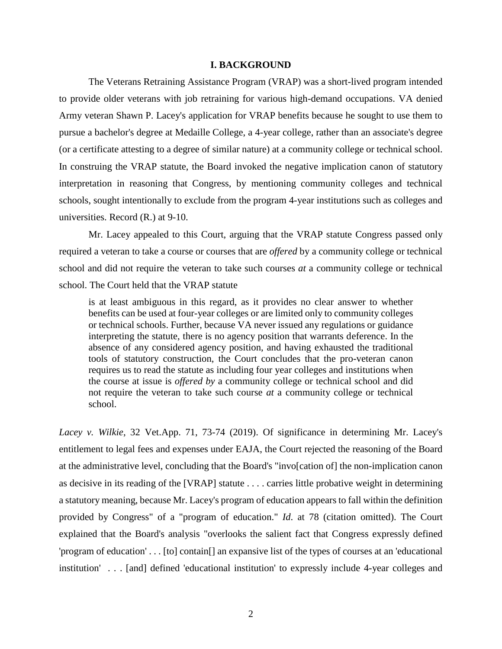### **I. BACKGROUND**

The Veterans Retraining Assistance Program (VRAP) was a short-lived program intended to provide older veterans with job retraining for various high-demand occupations. VA denied Army veteran Shawn P. Lacey's application for VRAP benefits because he sought to use them to pursue a bachelor's degree at Medaille College, a 4-year college, rather than an associate's degree (or a certificate attesting to a degree of similar nature) at a community college or technical school. In construing the VRAP statute, the Board invoked the negative implication canon of statutory interpretation in reasoning that Congress, by mentioning community colleges and technical schools, sought intentionally to exclude from the program 4-year institutions such as colleges and universities. Record (R.) at 9-10.

Mr. Lacey appealed to this Court, arguing that the VRAP statute Congress passed only required a veteran to take a course or courses that are *offered* by a community college or technical school and did not require the veteran to take such courses *at* a community college or technical school. The Court held that the VRAP statute

is at least ambiguous in this regard, as it provides no clear answer to whether benefits can be used at four-year colleges or are limited only to community colleges or technical schools. Further, because VA never issued any regulations or guidance interpreting the statute, there is no agency position that warrants deference. In the absence of any considered agency position, and having exhausted the traditional tools of statutory construction, the Court concludes that the pro-veteran canon requires us to read the statute as including four year colleges and institutions when the course at issue is *offered by* a community college or technical school and did not require the veteran to take such course *at* a community college or technical school.

*Lacey v. Wilkie*, 32 Vet.App. 71, 73-74 (2019). Of significance in determining Mr. Lacey's entitlement to legal fees and expenses under EAJA, the Court rejected the reasoning of the Board at the administrative level, concluding that the Board's "invo[cation of] the non-implication canon as decisive in its reading of the [VRAP] statute . . . . carries little probative weight in determining a statutory meaning, because Mr. Lacey's program of education appears to fall within the definition provided by Congress" of a "program of education." *Id*. at 78 (citation omitted). The Court explained that the Board's analysis "overlooks the salient fact that Congress expressly defined 'program of education' . . . [to] contain[] an expansive list of the types of courses at an 'educational institution' . . . [and] defined 'educational institution' to expressly include 4-year colleges and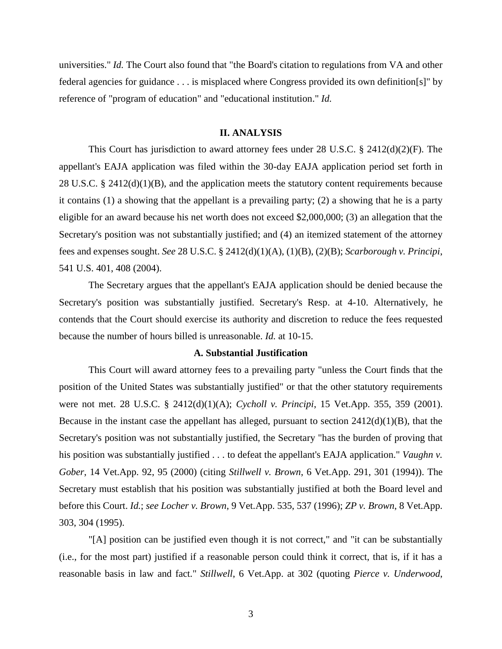universities." *Id.* The Court also found that "the Board's citation to regulations from VA and other federal agencies for guidance . . . is misplaced where Congress provided its own definition[s]" by reference of "program of education" and "educational institution." *Id.*

### **II. ANALYSIS**

This Court has jurisdiction to award attorney fees under 28 U.S.C. § 2412(d)(2)(F). The appellant's EAJA application was filed within the 30-day EAJA application period set forth in 28 U.S.C. § 2412(d)(1)(B), and the application meets the statutory content requirements because it contains (1) a showing that the appellant is a prevailing party; (2) a showing that he is a party eligible for an award because his net worth does not exceed \$2,000,000; (3) an allegation that the Secretary's position was not substantially justified; and (4) an itemized statement of the attorney fees and expenses sought. *See* 28 U.S.C. § 2412(d)(1)(A), (1)(B), (2)(B); *Scarborough v. Principi*, 541 U.S. 401, 408 (2004).

The Secretary argues that the appellant's EAJA application should be denied because the Secretary's position was substantially justified. Secretary's Resp. at 4-10. Alternatively, he contends that the Court should exercise its authority and discretion to reduce the fees requested because the number of hours billed is unreasonable. *Id.* at 10-15.

### **A. Substantial Justification**

This Court will award attorney fees to a prevailing party "unless the Court finds that the position of the United States was substantially justified" or that the other statutory requirements were not met. 28 U.S.C. § 2412(d)(1)(A); *Cycholl v. Principi*, 15 Vet.App. 355, 359 (2001). Because in the instant case the appellant has alleged, pursuant to section  $2412(d)(1)(B)$ , that the Secretary's position was not substantially justified, the Secretary "has the burden of proving that his position was substantially justified . . . to defeat the appellant's EAJA application." *Vaughn v. Gober*, 14 Vet.App. 92, 95 (2000) (citing *Stillwell v. Brown*, 6 Vet.App. 291, 301 (1994)). The Secretary must establish that his position was substantially justified at both the Board level and before this Court. *Id.*; *see Locher v. Brown*, 9 Vet.App. 535, 537 (1996); *ZP v. Brown*, 8 Vet.App. 303, 304 (1995).

"[A] position can be justified even though it is not correct," and "it can be substantially (i.e., for the most part) justified if a reasonable person could think it correct, that is, if it has a reasonable basis in law and fact." *Stillwell*, 6 Vet.App. at 302 (quoting *Pierce v. Underwood*,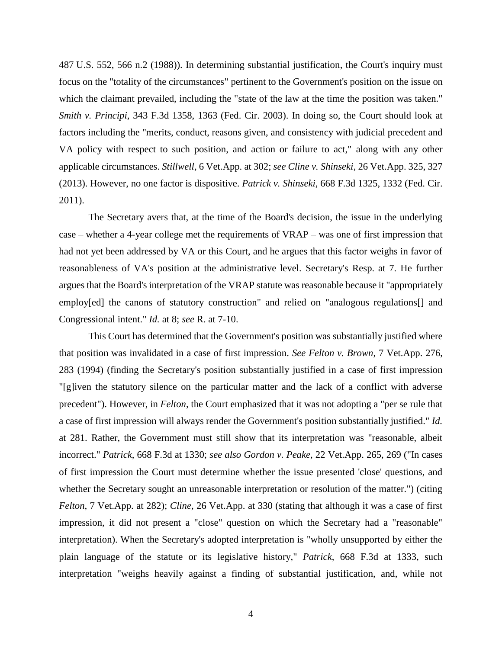487 U.S. 552, 566 n.2 (1988)). In determining substantial justification, the Court's inquiry must focus on the "totality of the circumstances" pertinent to the Government's position on the issue on which the claimant prevailed, including the "state of the law at the time the position was taken." *Smith v. Principi*, 343 F.3d 1358, 1363 (Fed. Cir. 2003). In doing so, the Court should look at factors including the "merits, conduct, reasons given, and consistency with judicial precedent and VA policy with respect to such position, and action or failure to act," along with any other applicable circumstances. *Stillwell*, 6 Vet.App. at 302; *see Cline v. Shinseki*, 26 Vet.App. 325, 327 (2013). However, no one factor is dispositive. *Patrick v. Shinseki*, 668 F.3d 1325, 1332 (Fed. Cir. 2011).

The Secretary avers that, at the time of the Board's decision, the issue in the underlying case – whether a 4-year college met the requirements of VRAP – was one of first impression that had not yet been addressed by VA or this Court, and he argues that this factor weighs in favor of reasonableness of VA's position at the administrative level. Secretary's Resp. at 7. He further argues that the Board's interpretation of the VRAP statute was reasonable because it "appropriately employ[ed] the canons of statutory construction" and relied on "analogous regulations[] and Congressional intent." *Id.* at 8; *see* R. at 7-10.

This Court has determined that the Government's position was substantially justified where that position was invalidated in a case of first impression. *See Felton v. Brown*, 7 Vet.App. 276, 283 (1994) (finding the Secretary's position substantially justified in a case of first impression "[g]iven the statutory silence on the particular matter and the lack of a conflict with adverse precedent"). However, in *Felton*, the Court emphasized that it was not adopting a "per se rule that a case of first impression will always render the Government's position substantially justified." *Id.* at 281. Rather, the Government must still show that its interpretation was "reasonable, albeit incorrect." *Patrick*, 668 F.3d at 1330; *see also Gordon v. Peake*, 22 Vet.App. 265, 269 ("In cases of first impression the Court must determine whether the issue presented 'close' questions, and whether the Secretary sought an unreasonable interpretation or resolution of the matter.") (citing *Felton*, 7 Vet.App. at 282); *Cline*, 26 Vet.App. at 330 (stating that although it was a case of first impression, it did not present a "close" question on which the Secretary had a "reasonable" interpretation). When the Secretary's adopted interpretation is "wholly unsupported by either the plain language of the statute or its legislative history," *Patrick*, 668 F.3d at 1333, such interpretation "weighs heavily against a finding of substantial justification, and, while not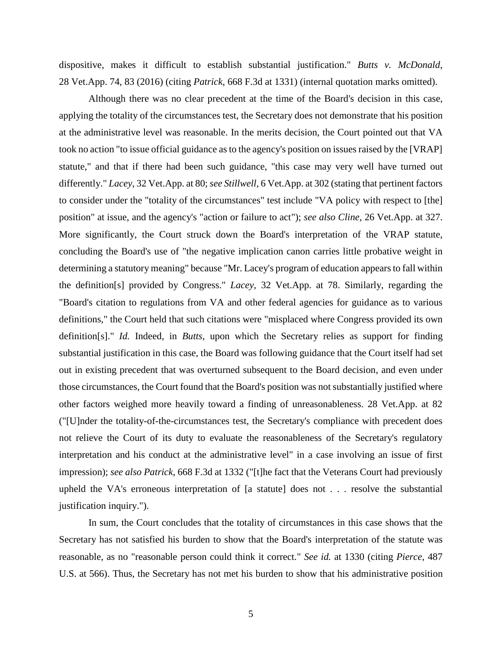dispositive, makes it difficult to establish substantial justification." *Butts v. McDonald*, 28 Vet.App. 74, 83 (2016) (citing *Patrick*, 668 F.3d at 1331) (internal quotation marks omitted).

Although there was no clear precedent at the time of the Board's decision in this case, applying the totality of the circumstances test, the Secretary does not demonstrate that his position at the administrative level was reasonable. In the merits decision, the Court pointed out that VA took no action "to issue official guidance as to the agency's position on issues raised by the [VRAP] statute," and that if there had been such guidance, "this case may very well have turned out differently." *Lacey*, 32 Vet.App. at 80; *see Stillwell*, 6 Vet.App. at 302 (stating that pertinent factors to consider under the "totality of the circumstances" test include "VA policy with respect to [the] position" at issue, and the agency's "action or failure to act"); *see also Cline*, 26 Vet.App. at 327. More significantly, the Court struck down the Board's interpretation of the VRAP statute, concluding the Board's use of "the negative implication canon carries little probative weight in determining a statutory meaning" because "Mr. Lacey's program of education appears to fall within the definition[s] provided by Congress." *Lacey,* 32 Vet.App. at 78. Similarly, regarding the "Board's citation to regulations from VA and other federal agencies for guidance as to various definitions," the Court held that such citations were "misplaced where Congress provided its own definition[s]." *Id.* Indeed, in *Butts*, upon which the Secretary relies as support for finding substantial justification in this case, the Board was following guidance that the Court itself had set out in existing precedent that was overturned subsequent to the Board decision, and even under those circumstances, the Court found that the Board's position was not substantially justified where other factors weighed more heavily toward a finding of unreasonableness. 28 Vet.App. at 82 ("[U]nder the totality-of-the-circumstances test, the Secretary's compliance with precedent does not relieve the Court of its duty to evaluate the reasonableness of the Secretary's regulatory interpretation and his conduct at the administrative level" in a case involving an issue of first impression); *see also Patrick,* 668 F.3d at 1332 ("[t]he fact that the Veterans Court had previously upheld the VA's erroneous interpretation of [a statute] does not . . . resolve the substantial justification inquiry.").

In sum, the Court concludes that the totality of circumstances in this case shows that the Secretary has not satisfied his burden to show that the Board's interpretation of the statute was reasonable, as no "reasonable person could think it correct." *See id.* at 1330 (citing *Pierce*, 487 U.S. at 566). Thus, the Secretary has not met his burden to show that his administrative position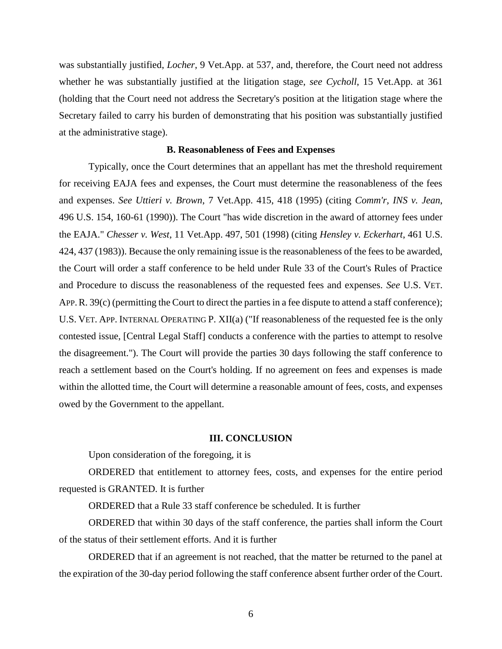was substantially justified, *Locher*, 9 Vet.App. at 537, and, therefore, the Court need not address whether he was substantially justified at the litigation stage, *see Cycholl*, 15 Vet.App. at 361 (holding that the Court need not address the Secretary's position at the litigation stage where the Secretary failed to carry his burden of demonstrating that his position was substantially justified at the administrative stage).

### **B. Reasonableness of Fees and Expenses**

Typically, once the Court determines that an appellant has met the threshold requirement for receiving EAJA fees and expenses, the Court must determine the reasonableness of the fees and expenses. *See Uttieri v. Brown*, 7 Vet.App. 415, 418 (1995) (citing *Comm'r, INS v. Jean*, 496 U.S. 154, 160-61 (1990)). The Court "has wide discretion in the award of attorney fees under the EAJA." *Chesser v. West*, 11 Vet.App. 497, 501 (1998) (citing *Hensley v. Eckerhart*, 461 U.S. 424, 437 (1983)). Because the only remaining issue is the reasonableness of the fees to be awarded, the Court will order a staff conference to be held under Rule 33 of the Court's Rules of Practice and Procedure to discuss the reasonableness of the requested fees and expenses. *See* U.S. VET. APP.R. 39(c) (permitting the Court to direct the parties in a fee dispute to attend a staff conference); U.S. VET. APP. INTERNAL OPERATING P. XII(a) ("If reasonableness of the requested fee is the only contested issue, [Central Legal Staff] conducts a conference with the parties to attempt to resolve the disagreement."). The Court will provide the parties 30 days following the staff conference to reach a settlement based on the Court's holding. If no agreement on fees and expenses is made within the allotted time, the Court will determine a reasonable amount of fees, costs, and expenses owed by the Government to the appellant.

#### **III. CONCLUSION**

Upon consideration of the foregoing, it is

ORDERED that entitlement to attorney fees, costs, and expenses for the entire period requested is GRANTED. It is further

ORDERED that a Rule 33 staff conference be scheduled. It is further

ORDERED that within 30 days of the staff conference, the parties shall inform the Court of the status of their settlement efforts. And it is further

ORDERED that if an agreement is not reached, that the matter be returned to the panel at the expiration of the 30-day period following the staff conference absent further order of the Court.

6